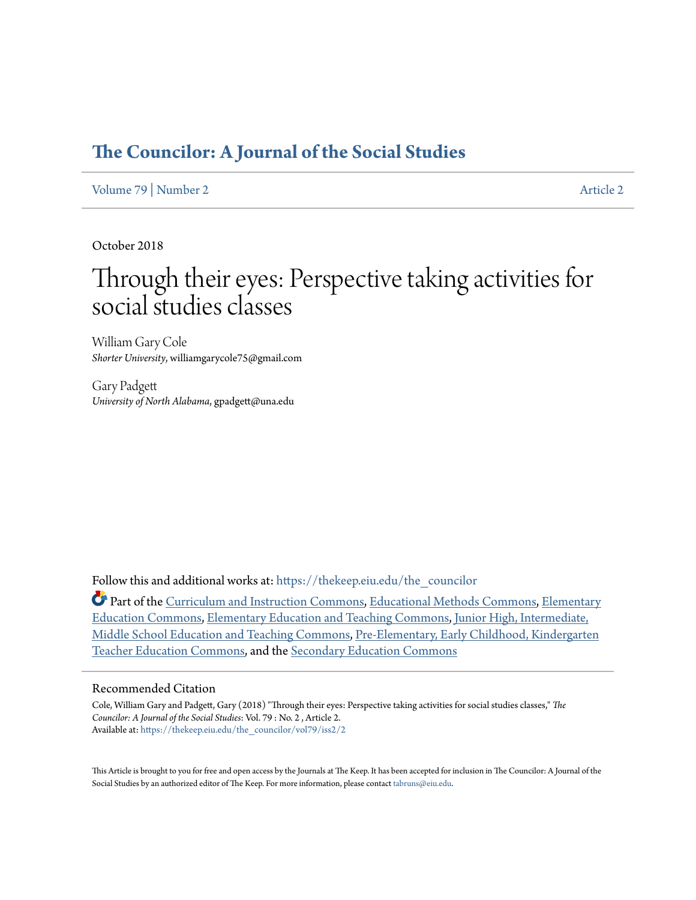# **[The Councilor: A Journal of the Social Studies](https://thekeep.eiu.edu/the_councilor?utm_source=thekeep.eiu.edu%2Fthe_councilor%2Fvol79%2Fiss2%2F2&utm_medium=PDF&utm_campaign=PDFCoverPages)**

[Volume 79](https://thekeep.eiu.edu/the_councilor/vol79?utm_source=thekeep.eiu.edu%2Fthe_councilor%2Fvol79%2Fiss2%2F2&utm_medium=PDF&utm_campaign=PDFCoverPages) | [Number 2](https://thekeep.eiu.edu/the_councilor/vol79/iss2?utm_source=thekeep.eiu.edu%2Fthe_councilor%2Fvol79%2Fiss2%2F2&utm_medium=PDF&utm_campaign=PDFCoverPages) [Article 2](https://thekeep.eiu.edu/the_councilor/vol79/iss2/2?utm_source=thekeep.eiu.edu%2Fthe_councilor%2Fvol79%2Fiss2%2F2&utm_medium=PDF&utm_campaign=PDFCoverPages)

October 2018

# Through their eyes: Perspective taking activities for social studies classes

William Gary Cole *Shorter University*, williamgarycole75@gmail.com

Gary Padgett *University of North Alabama*, gpadgett@una.edu

Follow this and additional works at: [https://thekeep.eiu.edu/the\\_councilor](https://thekeep.eiu.edu/the_councilor?utm_source=thekeep.eiu.edu%2Fthe_councilor%2Fvol79%2Fiss2%2F2&utm_medium=PDF&utm_campaign=PDFCoverPages)

Part of the [Curriculum and Instruction Commons](http://network.bepress.com/hgg/discipline/786?utm_source=thekeep.eiu.edu%2Fthe_councilor%2Fvol79%2Fiss2%2F2&utm_medium=PDF&utm_campaign=PDFCoverPages), [Educational Methods Commons,](http://network.bepress.com/hgg/discipline/1227?utm_source=thekeep.eiu.edu%2Fthe_councilor%2Fvol79%2Fiss2%2F2&utm_medium=PDF&utm_campaign=PDFCoverPages) [Elementary](http://network.bepress.com/hgg/discipline/1378?utm_source=thekeep.eiu.edu%2Fthe_councilor%2Fvol79%2Fiss2%2F2&utm_medium=PDF&utm_campaign=PDFCoverPages) [Education Commons](http://network.bepress.com/hgg/discipline/1378?utm_source=thekeep.eiu.edu%2Fthe_councilor%2Fvol79%2Fiss2%2F2&utm_medium=PDF&utm_campaign=PDFCoverPages), [Elementary Education and Teaching Commons](http://network.bepress.com/hgg/discipline/805?utm_source=thekeep.eiu.edu%2Fthe_councilor%2Fvol79%2Fiss2%2F2&utm_medium=PDF&utm_campaign=PDFCoverPages), [Junior High, Intermediate,](http://network.bepress.com/hgg/discipline/807?utm_source=thekeep.eiu.edu%2Fthe_councilor%2Fvol79%2Fiss2%2F2&utm_medium=PDF&utm_campaign=PDFCoverPages) [Middle School Education and Teaching Commons](http://network.bepress.com/hgg/discipline/807?utm_source=thekeep.eiu.edu%2Fthe_councilor%2Fvol79%2Fiss2%2F2&utm_medium=PDF&utm_campaign=PDFCoverPages), [Pre-Elementary, Early Childhood, Kindergarten](http://network.bepress.com/hgg/discipline/808?utm_source=thekeep.eiu.edu%2Fthe_councilor%2Fvol79%2Fiss2%2F2&utm_medium=PDF&utm_campaign=PDFCoverPages) [Teacher Education Commons](http://network.bepress.com/hgg/discipline/808?utm_source=thekeep.eiu.edu%2Fthe_councilor%2Fvol79%2Fiss2%2F2&utm_medium=PDF&utm_campaign=PDFCoverPages), and the [Secondary Education Commons](http://network.bepress.com/hgg/discipline/1382?utm_source=thekeep.eiu.edu%2Fthe_councilor%2Fvol79%2Fiss2%2F2&utm_medium=PDF&utm_campaign=PDFCoverPages)

#### Recommended Citation

Cole, William Gary and Padgett, Gary (2018) "Through their eyes: Perspective taking activities for social studies classes," *The Councilor: A Journal of the Social Studies*: Vol. 79 : No. 2 , Article 2. Available at: [https://thekeep.eiu.edu/the\\_councilor/vol79/iss2/2](https://thekeep.eiu.edu/the_councilor/vol79/iss2/2?utm_source=thekeep.eiu.edu%2Fthe_councilor%2Fvol79%2Fiss2%2F2&utm_medium=PDF&utm_campaign=PDFCoverPages)

This Article is brought to you for free and open access by the Journals at The Keep. It has been accepted for inclusion in The Councilor: A Journal of the Social Studies by an authorized editor of The Keep. For more information, please contact [tabruns@eiu.edu](mailto:tabruns@eiu.edu).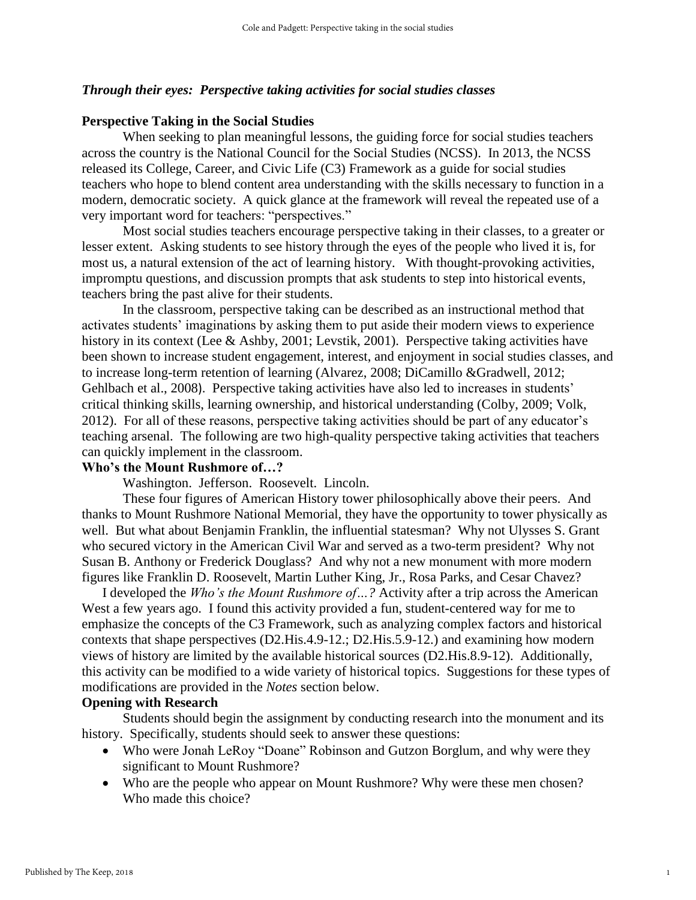#### *Through their eyes: Perspective taking activities for social studies classes*

#### **Perspective Taking in the Social Studies**

When seeking to plan meaningful lessons, the guiding force for social studies teachers across the country is the National Council for the Social Studies (NCSS). In 2013, the NCSS released its College, Career, and Civic Life (C3) Framework as a guide for social studies teachers who hope to blend content area understanding with the skills necessary to function in a modern, democratic society. A quick glance at the framework will reveal the repeated use of a very important word for teachers: "perspectives."

Most social studies teachers encourage perspective taking in their classes, to a greater or lesser extent. Asking students to see history through the eyes of the people who lived it is, for most us, a natural extension of the act of learning history. With thought-provoking activities, impromptu questions, and discussion prompts that ask students to step into historical events, teachers bring the past alive for their students.

In the classroom, perspective taking can be described as an instructional method that activates students' imaginations by asking them to put aside their modern views to experience history in its context (Lee & Ashby, 2001; Levstik, 2001). Perspective taking activities have been shown to increase student engagement, interest, and enjoyment in social studies classes, and to increase long-term retention of learning (Alvarez, 2008; DiCamillo &Gradwell, 2012; Gehlbach et al., 2008). Perspective taking activities have also led to increases in students' critical thinking skills, learning ownership, and historical understanding (Colby, 2009; Volk, 2012). For all of these reasons, perspective taking activities should be part of any educator's teaching arsenal. The following are two high-quality perspective taking activities that teachers can quickly implement in the classroom.

#### **Who's the Mount Rushmore of…?**

Washington. Jefferson. Roosevelt. Lincoln.

These four figures of American History tower philosophically above their peers. And thanks to Mount Rushmore National Memorial, they have the opportunity to tower physically as well. But what about Benjamin Franklin, the influential statesman? Why not Ulysses S. Grant who secured victory in the American Civil War and served as a two-term president? Why not Susan B. Anthony or Frederick Douglass? And why not a new monument with more modern figures like Franklin D. Roosevelt, Martin Luther King, Jr., Rosa Parks, and Cesar Chavez?

I developed the *Who's the Mount Rushmore of…?* Activity after a trip across the American West a few years ago. I found this activity provided a fun, student-centered way for me to emphasize the concepts of the C3 Framework, such as analyzing complex factors and historical contexts that shape perspectives (D2.His.4.9-12.; D2.His.5.9-12.) and examining how modern views of history are limited by the available historical sources (D2.His.8.9-12). Additionally, this activity can be modified to a wide variety of historical topics. Suggestions for these types of modifications are provided in the *Notes* section below.

#### **Opening with Research**

Students should begin the assignment by conducting research into the monument and its history. Specifically, students should seek to answer these questions:

- Who were Jonah LeRoy "Doane" Robinson and Gutzon Borglum, and why were they significant to Mount Rushmore?
- Who are the people who appear on Mount Rushmore? Why were these men chosen? Who made this choice?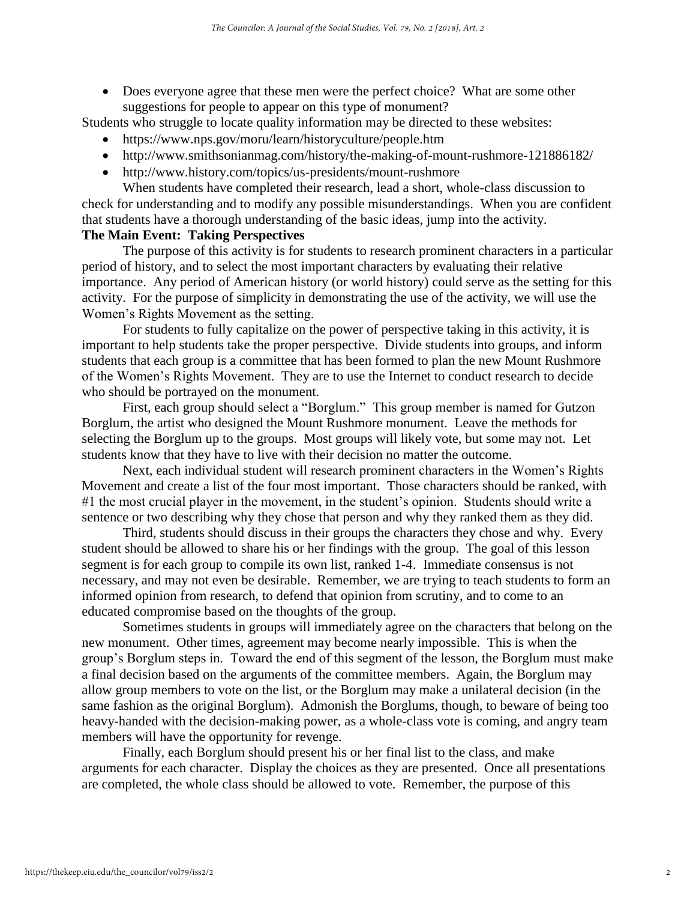• Does everyone agree that these men were the perfect choice? What are some other suggestions for people to appear on this type of monument?

Students who struggle to locate quality information may be directed to these websites:

- https://www.nps.gov/moru/learn/historyculture/people.htm
- http://www.smithsonianmag.com/history/the-making-of-mount-rushmore-121886182/
- http://www.history.com/topics/us-presidents/mount-rushmore

When students have completed their research, lead a short, whole-class discussion to check for understanding and to modify any possible misunderstandings. When you are confident that students have a thorough understanding of the basic ideas, jump into the activity.

# **The Main Event: Taking Perspectives**

The purpose of this activity is for students to research prominent characters in a particular period of history, and to select the most important characters by evaluating their relative importance. Any period of American history (or world history) could serve as the setting for this activity. For the purpose of simplicity in demonstrating the use of the activity, we will use the Women's Rights Movement as the setting.

For students to fully capitalize on the power of perspective taking in this activity, it is important to help students take the proper perspective. Divide students into groups, and inform students that each group is a committee that has been formed to plan the new Mount Rushmore of the Women's Rights Movement. They are to use the Internet to conduct research to decide who should be portrayed on the monument.

First, each group should select a "Borglum." This group member is named for Gutzon Borglum, the artist who designed the Mount Rushmore monument. Leave the methods for selecting the Borglum up to the groups. Most groups will likely vote, but some may not. Let students know that they have to live with their decision no matter the outcome.

Next, each individual student will research prominent characters in the Women's Rights Movement and create a list of the four most important. Those characters should be ranked, with #1 the most crucial player in the movement, in the student's opinion. Students should write a sentence or two describing why they chose that person and why they ranked them as they did.

Third, students should discuss in their groups the characters they chose and why. Every student should be allowed to share his or her findings with the group. The goal of this lesson segment is for each group to compile its own list, ranked 1-4. Immediate consensus is not necessary, and may not even be desirable. Remember, we are trying to teach students to form an informed opinion from research, to defend that opinion from scrutiny, and to come to an educated compromise based on the thoughts of the group.

Sometimes students in groups will immediately agree on the characters that belong on the new monument. Other times, agreement may become nearly impossible. This is when the group's Borglum steps in. Toward the end of this segment of the lesson, the Borglum must make a final decision based on the arguments of the committee members. Again, the Borglum may allow group members to vote on the list, or the Borglum may make a unilateral decision (in the same fashion as the original Borglum). Admonish the Borglums, though, to beware of being too heavy-handed with the decision-making power, as a whole-class vote is coming, and angry team members will have the opportunity for revenge.

Finally, each Borglum should present his or her final list to the class, and make arguments for each character. Display the choices as they are presented. Once all presentations are completed, the whole class should be allowed to vote. Remember, the purpose of this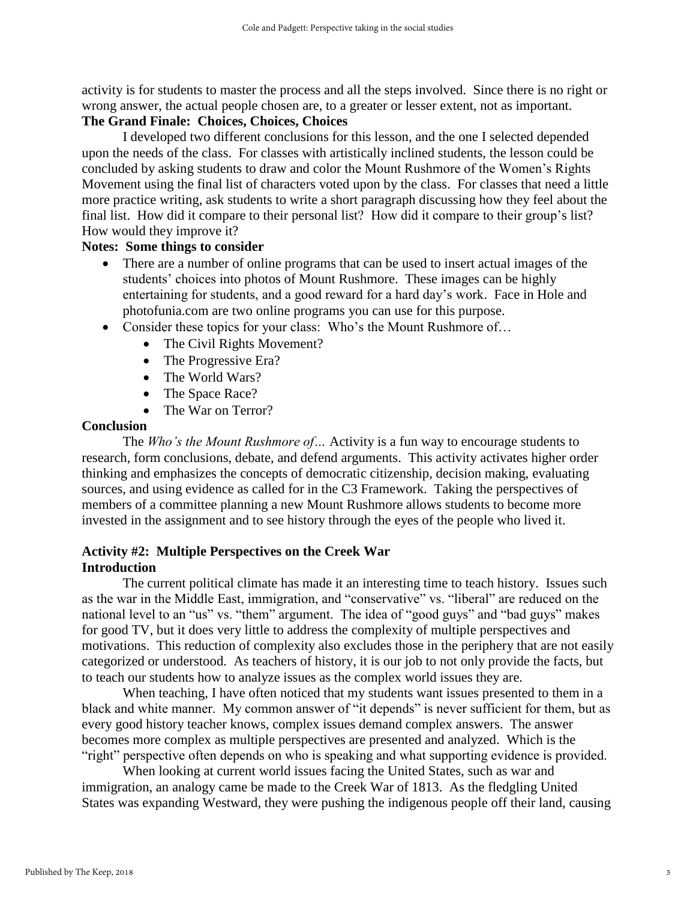activity is for students to master the process and all the steps involved. Since there is no right or wrong answer, the actual people chosen are, to a greater or lesser extent, not as important.

## **The Grand Finale: Choices, Choices, Choices**

I developed two different conclusions for this lesson, and the one I selected depended upon the needs of the class. For classes with artistically inclined students, the lesson could be concluded by asking students to draw and color the Mount Rushmore of the Women's Rights Movement using the final list of characters voted upon by the class. For classes that need a little more practice writing, ask students to write a short paragraph discussing how they feel about the final list. How did it compare to their personal list? How did it compare to their group's list? How would they improve it?

#### **Notes: Some things to consider**

- There are a number of online programs that can be used to insert actual images of the students' choices into photos of Mount Rushmore. These images can be highly entertaining for students, and a good reward for a hard day's work. Face in Hole and photofunia.com are two online programs you can use for this purpose.
- Consider these topics for your class: Who's the Mount Rushmore of...
	- The Civil Rights Movement?
	- The Progressive Era?
	- The World Wars?
	- The Space Race?
	- The War on Terror?

#### **Conclusion**

The *Who's the Mount Rushmore of…* Activity is a fun way to encourage students to research, form conclusions, debate, and defend arguments. This activity activates higher order thinking and emphasizes the concepts of democratic citizenship, decision making, evaluating sources, and using evidence as called for in the C3 Framework. Taking the perspectives of members of a committee planning a new Mount Rushmore allows students to become more invested in the assignment and to see history through the eyes of the people who lived it.

### **Activity #2: Multiple Perspectives on the Creek War Introduction**

The current political climate has made it an interesting time to teach history. Issues such as the war in the Middle East, immigration, and "conservative" vs. "liberal" are reduced on the national level to an "us" vs. "them" argument. The idea of "good guys" and "bad guys" makes for good TV, but it does very little to address the complexity of multiple perspectives and motivations. This reduction of complexity also excludes those in the periphery that are not easily categorized or understood. As teachers of history, it is our job to not only provide the facts, but to teach our students how to analyze issues as the complex world issues they are.

When teaching, I have often noticed that my students want issues presented to them in a black and white manner. My common answer of "it depends" is never sufficient for them, but as every good history teacher knows, complex issues demand complex answers. The answer becomes more complex as multiple perspectives are presented and analyzed. Which is the "right" perspective often depends on who is speaking and what supporting evidence is provided.

When looking at current world issues facing the United States, such as war and immigration, an analogy came be made to the Creek War of 1813. As the fledgling United States was expanding Westward, they were pushing the indigenous people off their land, causing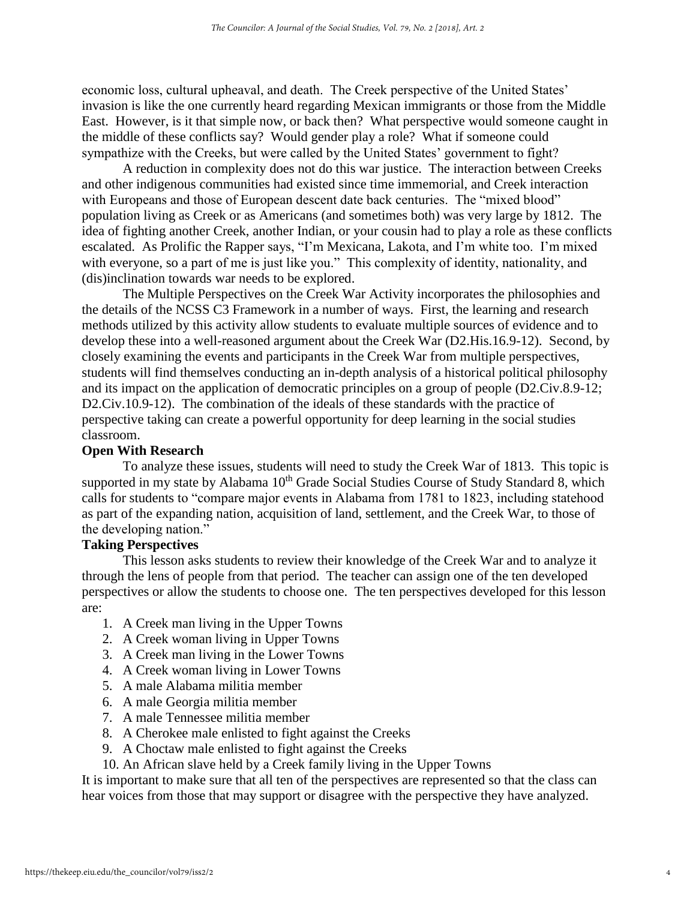economic loss, cultural upheaval, and death. The Creek perspective of the United States' invasion is like the one currently heard regarding Mexican immigrants or those from the Middle East. However, is it that simple now, or back then? What perspective would someone caught in the middle of these conflicts say? Would gender play a role? What if someone could sympathize with the Creeks, but were called by the United States' government to fight?

A reduction in complexity does not do this war justice. The interaction between Creeks and other indigenous communities had existed since time immemorial, and Creek interaction with Europeans and those of European descent date back centuries. The "mixed blood" population living as Creek or as Americans (and sometimes both) was very large by 1812. The idea of fighting another Creek, another Indian, or your cousin had to play a role as these conflicts escalated. As Prolific the Rapper says, "I'm Mexicana, Lakota, and I'm white too. I'm mixed with everyone, so a part of me is just like you." This complexity of identity, nationality, and (dis)inclination towards war needs to be explored.

The Multiple Perspectives on the Creek War Activity incorporates the philosophies and the details of the NCSS C3 Framework in a number of ways. First, the learning and research methods utilized by this activity allow students to evaluate multiple sources of evidence and to develop these into a well-reasoned argument about the Creek War (D2.His.16.9-12). Second, by closely examining the events and participants in the Creek War from multiple perspectives, students will find themselves conducting an in-depth analysis of a historical political philosophy and its impact on the application of democratic principles on a group of people (D2.Civ.8.9-12; D2.Civ.10.9-12). The combination of the ideals of these standards with the practice of perspective taking can create a powerful opportunity for deep learning in the social studies classroom.

#### **Open With Research**

To analyze these issues, students will need to study the Creek War of 1813. This topic is supported in my state by Alabama 10<sup>th</sup> Grade Social Studies Course of Study Standard 8, which calls for students to "compare major events in Alabama from 1781 to 1823, including statehood as part of the expanding nation, acquisition of land, settlement, and the Creek War, to those of the developing nation."

#### **Taking Perspectives**

This lesson asks students to review their knowledge of the Creek War and to analyze it through the lens of people from that period. The teacher can assign one of the ten developed perspectives or allow the students to choose one. The ten perspectives developed for this lesson are:

- 1. A Creek man living in the Upper Towns
- 2. A Creek woman living in Upper Towns
- 3. A Creek man living in the Lower Towns
- 4. A Creek woman living in Lower Towns
- 5. A male Alabama militia member
- 6. A male Georgia militia member
- 7. A male Tennessee militia member
- 8. A Cherokee male enlisted to fight against the Creeks
- 9. A Choctaw male enlisted to fight against the Creeks
- 10. An African slave held by a Creek family living in the Upper Towns

It is important to make sure that all ten of the perspectives are represented so that the class can hear voices from those that may support or disagree with the perspective they have analyzed.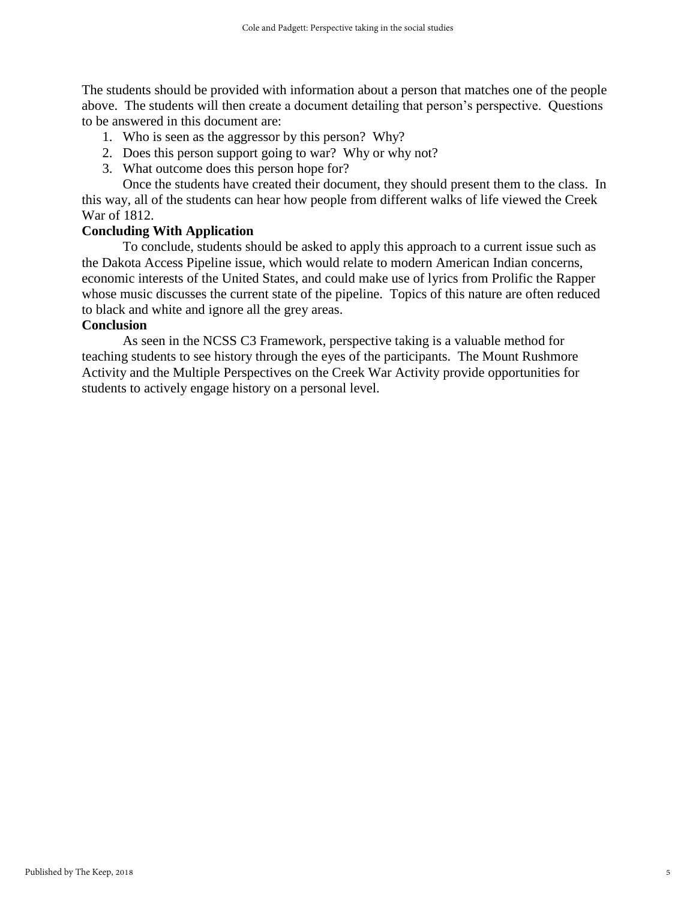The students should be provided with information about a person that matches one of the people above. The students will then create a document detailing that person's perspective. Questions to be answered in this document are:

- 1. Who is seen as the aggressor by this person? Why?
- 2. Does this person support going to war? Why or why not?
- 3. What outcome does this person hope for?

Once the students have created their document, they should present them to the class. In this way, all of the students can hear how people from different walks of life viewed the Creek War of 1812.

# **Concluding With Application**

To conclude, students should be asked to apply this approach to a current issue such as the Dakota Access Pipeline issue, which would relate to modern American Indian concerns, economic interests of the United States, and could make use of lyrics from Prolific the Rapper whose music discusses the current state of the pipeline. Topics of this nature are often reduced to black and white and ignore all the grey areas.

# **Conclusion**

As seen in the NCSS C3 Framework, perspective taking is a valuable method for teaching students to see history through the eyes of the participants. The Mount Rushmore Activity and the Multiple Perspectives on the Creek War Activity provide opportunities for students to actively engage history on a personal level.